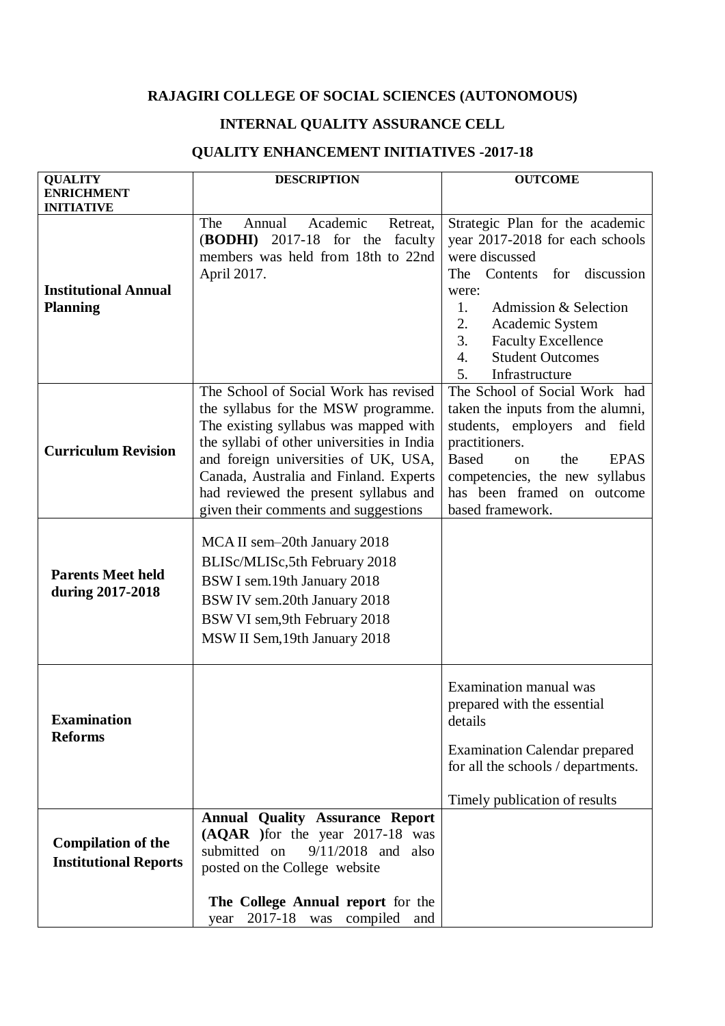## **RAJAGIRI COLLEGE OF SOCIAL SCIENCES (AUTONOMOUS)**

## **INTERNAL QUALITY ASSURANCE CELL**

## **QUALITY ENHANCEMENT INITIATIVES -2017-18**

| <b>QUALITY</b>                                            | <b>DESCRIPTION</b>                                                                                                                                                                                                                                                                                                                     | <b>OUTCOME</b>                                                                                                                                                                                                                                                                                       |
|-----------------------------------------------------------|----------------------------------------------------------------------------------------------------------------------------------------------------------------------------------------------------------------------------------------------------------------------------------------------------------------------------------------|------------------------------------------------------------------------------------------------------------------------------------------------------------------------------------------------------------------------------------------------------------------------------------------------------|
| <b>ENRICHMENT</b><br><b>INITIATIVE</b>                    |                                                                                                                                                                                                                                                                                                                                        |                                                                                                                                                                                                                                                                                                      |
| <b>Institutional Annual</b><br><b>Planning</b>            | The<br>Academic<br>Annual<br>Retreat,<br>(BODHI)<br>2017-18 for the<br>faculty<br>members was held from 18th to 22nd<br>April 2017.                                                                                                                                                                                                    | Strategic Plan for the academic<br>year 2017-2018 for each schools<br>were discussed<br>Contents for<br>discussion<br>The<br>were:<br>1.<br>Admission & Selection<br>2.<br>Academic System<br>3.<br><b>Faculty Excellence</b><br><b>Student Outcomes</b><br>$\overline{4}$ .<br>5.<br>Infrastructure |
| <b>Curriculum Revision</b>                                | The School of Social Work has revised<br>the syllabus for the MSW programme.<br>The existing syllabus was mapped with<br>the syllabi of other universities in India<br>and foreign universities of UK, USA,<br>Canada, Australia and Finland. Experts<br>had reviewed the present syllabus and<br>given their comments and suggestions | The School of Social Work had<br>taken the inputs from the alumni,<br>students, employers and field<br>practitioners.<br><b>Based</b><br><b>EPAS</b><br>the<br>$\alpha$<br>competencies, the new syllabus<br>has been framed on outcome<br>based framework.                                          |
| <b>Parents Meet held</b><br>during 2017-2018              | MCA II sem-20th January 2018<br>BLISc/MLISc, 5th February 2018<br>BSW I sem.19th January 2018<br>BSW IV sem.20th January 2018<br>BSW VI sem, 9th February 2018<br>MSW II Sem, 19th January 2018                                                                                                                                        |                                                                                                                                                                                                                                                                                                      |
| <b>Examination</b><br><b>Reforms</b>                      |                                                                                                                                                                                                                                                                                                                                        | Examination manual was<br>prepared with the essential<br>details<br><b>Examination Calendar prepared</b><br>for all the schools / departments.<br>Timely publication of results                                                                                                                      |
| <b>Compilation of the</b><br><b>Institutional Reports</b> | <b>Annual Quality Assurance Report</b><br>(AQAR ) for the year 2017-18 was<br>submitted on<br>$9/11/2018$ and also<br>posted on the College website<br>The College Annual report for the<br>2017-18 was compiled and<br>year                                                                                                           |                                                                                                                                                                                                                                                                                                      |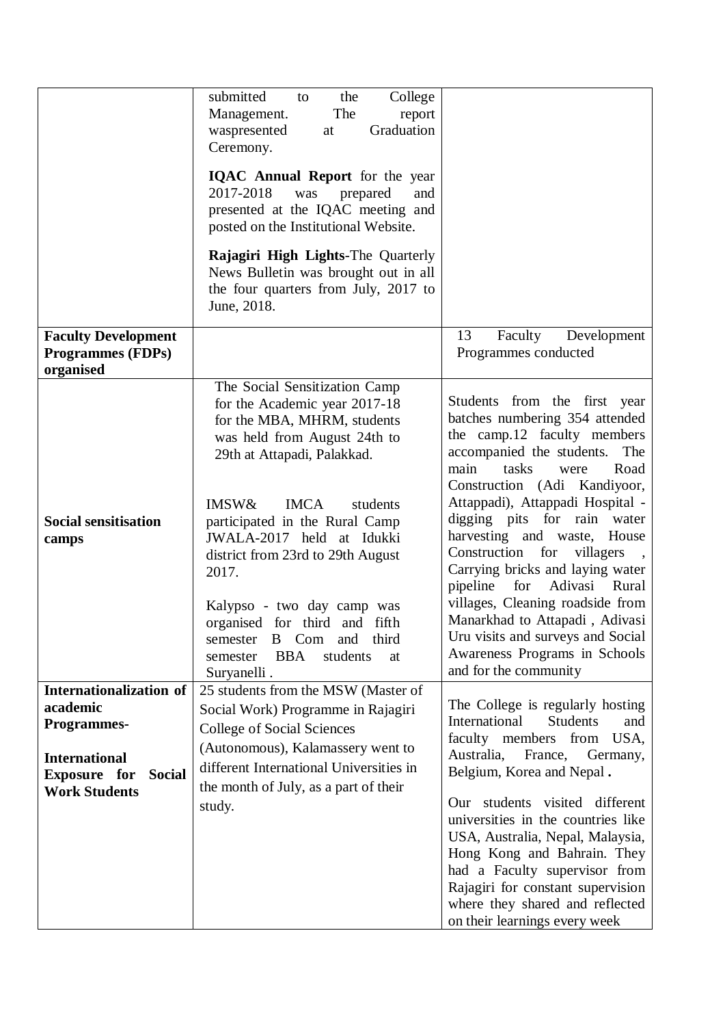|                                                                                                                                                   | submitted<br>College<br>the<br>to<br>The<br>Management.<br>report<br>Graduation<br>waspresented<br>at<br>Ceremony.<br><b>IQAC Annual Report</b> for the year<br>2017-2018<br>prepared<br>was<br>and<br>presented at the IQAC meeting and<br>posted on the Institutional Website.<br>Rajagiri High Lights-The Quarterly<br>News Bulletin was brought out in all<br>the four quarters from July, 2017 to<br>June, 2018.                                                                |                                                                                                                                                                                                                                                                                                                                                                                                                                                                                                                                                                                       |
|---------------------------------------------------------------------------------------------------------------------------------------------------|--------------------------------------------------------------------------------------------------------------------------------------------------------------------------------------------------------------------------------------------------------------------------------------------------------------------------------------------------------------------------------------------------------------------------------------------------------------------------------------|---------------------------------------------------------------------------------------------------------------------------------------------------------------------------------------------------------------------------------------------------------------------------------------------------------------------------------------------------------------------------------------------------------------------------------------------------------------------------------------------------------------------------------------------------------------------------------------|
| <b>Faculty Development</b><br><b>Programmes (FDPs)</b><br>organised                                                                               |                                                                                                                                                                                                                                                                                                                                                                                                                                                                                      | 13<br>Faculty<br>Development<br>Programmes conducted                                                                                                                                                                                                                                                                                                                                                                                                                                                                                                                                  |
| <b>Social sensitisation</b><br>camps                                                                                                              | The Social Sensitization Camp<br>for the Academic year 2017-18<br>for the MBA, MHRM, students<br>was held from August 24th to<br>29th at Attapadi, Palakkad.<br><b>IMSW&amp;</b><br><b>IMCA</b><br>students<br>participated in the Rural Camp<br>JWALA-2017 held at Idukki<br>district from 23rd to 29th August<br>2017.<br>Kalypso - two day camp was<br>organised for third and fifth<br>and third<br>B Com<br>semester<br><b>BBA</b><br>students<br>semester<br>at<br>Suryanelli. | Students from the first year<br>batches numbering 354 attended<br>the camp.12 faculty members<br>accompanied the students.<br>The<br>main<br>tasks<br>Road<br>were<br>Construction (Adi Kandiyoor,<br>Attappadi), Attappadi Hospital -<br>digging pits for rain water<br>harvesting and waste, House<br>Construction for<br>villagers<br>Carrying bricks and laying water<br>Adivasi<br>pipeline<br>for<br>Rural<br>villages, Cleaning roadside from<br>Manarkhad to Attapadi, Adivasi<br>Uru visits and surveys and Social<br>Awareness Programs in Schools<br>and for the community |
| Internationalization of<br>academic<br><b>Programmes-</b><br><b>International</b><br><b>Exposure</b> for<br><b>Social</b><br><b>Work Students</b> | 25 students from the MSW (Master of<br>Social Work) Programme in Rajagiri<br><b>College of Social Sciences</b><br>(Autonomous), Kalamassery went to<br>different International Universities in<br>the month of July, as a part of their<br>study.                                                                                                                                                                                                                                    | The College is regularly hosting<br>International<br><b>Students</b><br>and<br>faculty members from USA,<br>Australia,<br>France,<br>Germany,<br>Belgium, Korea and Nepal.<br>students visited different<br>Our (<br>universities in the countries like<br>USA, Australia, Nepal, Malaysia,<br>Hong Kong and Bahrain. They<br>had a Faculty supervisor from<br>Rajagiri for constant supervision<br>where they shared and reflected<br>on their learnings every week                                                                                                                  |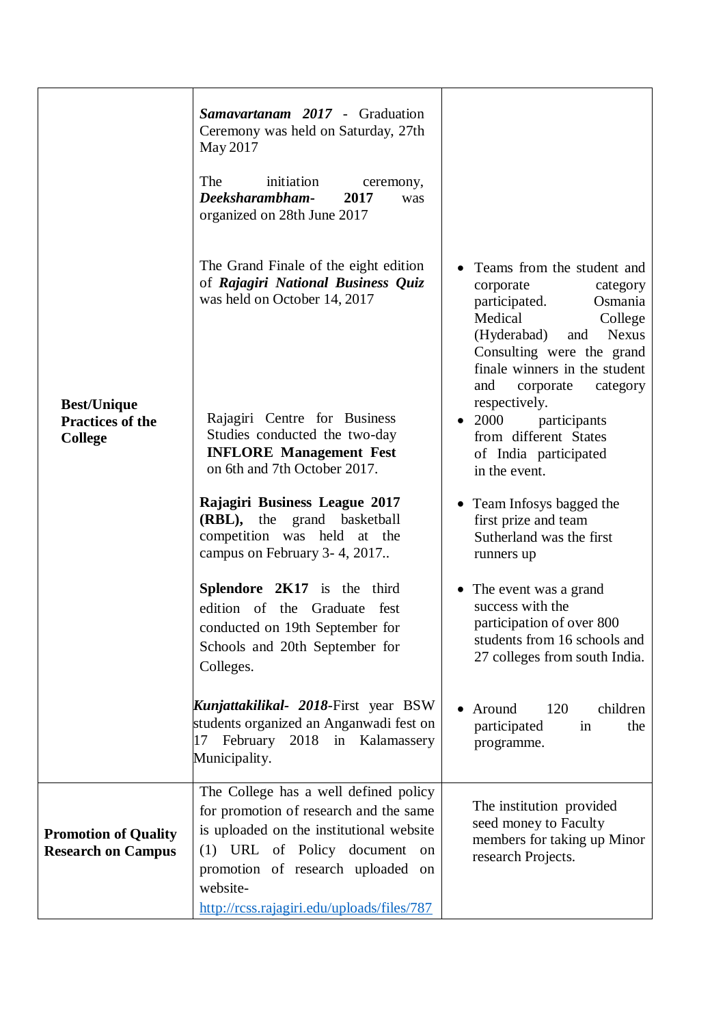|                                                                 | Samavartanam 2017 - Graduation<br>Ceremony was held on Saturday, 27th<br>May 2017<br>The<br>initiation<br>ceremony,<br>Deeksharambham-<br>2017<br>was<br>organized on 28th June 2017                                                                           |                                                                                                                                                                                                                                                                                                                                                                    |
|-----------------------------------------------------------------|----------------------------------------------------------------------------------------------------------------------------------------------------------------------------------------------------------------------------------------------------------------|--------------------------------------------------------------------------------------------------------------------------------------------------------------------------------------------------------------------------------------------------------------------------------------------------------------------------------------------------------------------|
| <b>Best/Unique</b><br><b>Practices of the</b><br><b>College</b> | The Grand Finale of the eight edition<br>of Rajagiri National Business Quiz<br>was held on October 14, 2017<br>Rajagiri Centre for Business<br>Studies conducted the two-day<br><b>INFLORE Management Fest</b><br>on 6th and 7th October 2017.                 | Teams from the student and<br>corporate<br>category<br>participated.<br>Osmania<br>Medical<br>College<br>(Hyderabad)<br><b>Nexus</b><br>and<br>Consulting were the grand<br>finale winners in the student<br>and<br>corporate<br>category<br>respectively.<br>2000<br>participants<br>$\bullet$<br>from different States<br>of India participated<br>in the event. |
|                                                                 | Rajagiri Business League 2017<br>(RBL), the grand basketball<br>competition was held at the<br>campus on February 3-4, 2017                                                                                                                                    | Team Infosys bagged the<br>first prize and team<br>Sutherland was the first<br>runners up                                                                                                                                                                                                                                                                          |
|                                                                 | Splendore 2K17 is the third<br>edition of the Graduate fest<br>conducted on 19th September for<br>Schools and 20th September for<br>Colleges.                                                                                                                  | • The event was a grand<br>success with the<br>participation of over 800<br>students from 16 schools and<br>27 colleges from south India.                                                                                                                                                                                                                          |
|                                                                 | <b>Kunjattakilikal- 2018-First year BSW</b><br>students organized an Anganwadi fest on<br>February<br>2018 in Kalamassery<br>17<br>Municipality.                                                                                                               | 120<br>children<br>Around<br>participated<br>in<br>the<br>programme.                                                                                                                                                                                                                                                                                               |
| <b>Promotion of Quality</b><br><b>Research on Campus</b>        | The College has a well defined policy<br>for promotion of research and the same<br>is uploaded on the institutional website<br>(1) URL of Policy document<br>on<br>promotion of research uploaded on<br>website-<br>http://rcss.rajagiri.edu/uploads/files/787 | The institution provided<br>seed money to Faculty<br>members for taking up Minor<br>research Projects.                                                                                                                                                                                                                                                             |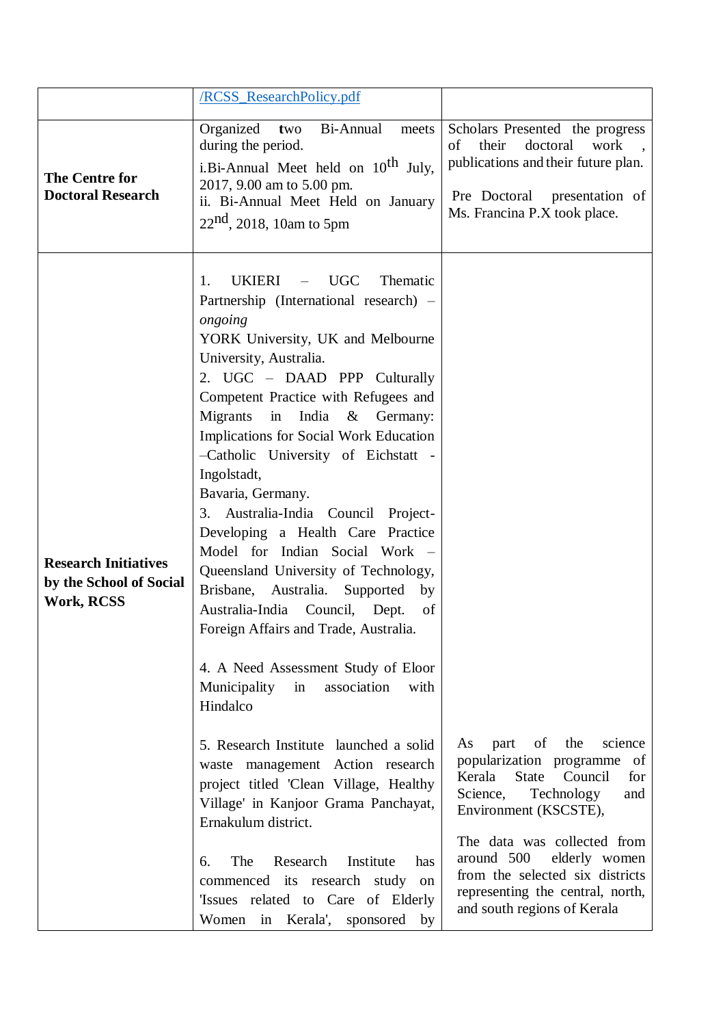|                                                                             | /RCSS_ResearchPolicy.pdf                                                                                                                                                                                                                                                                                                                                                                                                                                                                                                                                                                                                                                                                                                                                                                                                                                                                                                                                                                                                                                                                                                                      |                                                                                                                                                                                                                                                                                                                                   |
|-----------------------------------------------------------------------------|-----------------------------------------------------------------------------------------------------------------------------------------------------------------------------------------------------------------------------------------------------------------------------------------------------------------------------------------------------------------------------------------------------------------------------------------------------------------------------------------------------------------------------------------------------------------------------------------------------------------------------------------------------------------------------------------------------------------------------------------------------------------------------------------------------------------------------------------------------------------------------------------------------------------------------------------------------------------------------------------------------------------------------------------------------------------------------------------------------------------------------------------------|-----------------------------------------------------------------------------------------------------------------------------------------------------------------------------------------------------------------------------------------------------------------------------------------------------------------------------------|
| <b>The Centre for</b><br><b>Doctoral Research</b>                           | Organized<br>Bi-Annual<br>two<br>meets<br>during the period.<br>i.Bi-Annual Meet held on 10 <sup>th</sup> July,<br>2017, 9.00 am to 5.00 pm.<br>ii. Bi-Annual Meet Held on January<br>$22nd$ , 2018, 10am to 5pm                                                                                                                                                                                                                                                                                                                                                                                                                                                                                                                                                                                                                                                                                                                                                                                                                                                                                                                              | Scholars Presented the progress<br>their<br>doctoral<br>work<br>of<br>publications and their future plan.<br>Pre Doctoral presentation of<br>Ms. Francina P.X took place.                                                                                                                                                         |
| <b>Research Initiatives</b><br>by the School of Social<br><b>Work, RCSS</b> | <b>UGC</b><br><b>UKIERI</b><br>Thematic<br>1.<br>Partnership (International research) –<br>ongoing<br>YORK University, UK and Melbourne<br>University, Australia.<br>2. UGC - DAAD PPP Culturally<br>Competent Practice with Refugees and<br>in<br>India<br>Migrants<br>$&$ Germany:<br>Implications for Social Work Education<br>-Catholic University of Eichstatt -<br>Ingolstadt,<br>Bavaria, Germany.<br>Australia-India Council Project-<br>3.<br>Developing a Health Care Practice<br>Model for Indian Social Work -<br>Queensland University of Technology,<br>Brisbane, Australia. Supported<br>by<br>Australia-India Council, Dept.<br>of<br>Foreign Affairs and Trade, Australia.<br>4. A Need Assessment Study of Eloor<br>Municipality<br>in<br>association<br>with<br>Hindalco<br>5. Research Institute launched a solid<br>waste management Action research<br>project titled 'Clean Village, Healthy<br>Village' in Kanjoor Grama Panchayat,<br>Ernakulum district.<br>Research<br>The<br>Institute<br>6.<br>has<br>commenced its research study on<br>'Issues related to Care of Elderly<br>Women in Kerala',<br>sponsored by | of the<br>science<br>part<br>As<br>popularization programme of<br>State<br>Kerala<br>Council<br>for<br>Technology<br>Science,<br>and<br>Environment (KSCSTE),<br>The data was collected from<br>around 500<br>elderly women<br>from the selected six districts<br>representing the central, north,<br>and south regions of Kerala |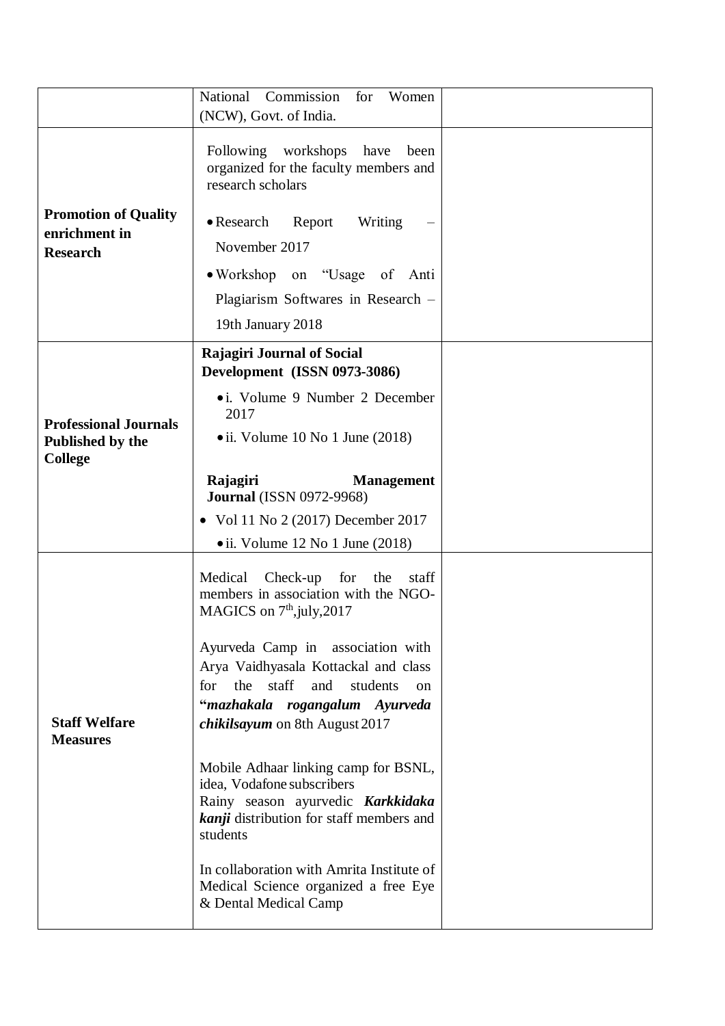|                                              | National Commission<br>for<br>Women                                                                                                                                    |  |
|----------------------------------------------|------------------------------------------------------------------------------------------------------------------------------------------------------------------------|--|
|                                              | (NCW), Govt. of India.                                                                                                                                                 |  |
|                                              | Following workshops<br>have<br>been<br>organized for the faculty members and<br>research scholars                                                                      |  |
| <b>Promotion of Quality</b><br>enrichment in | • Research<br>Report<br>Writing                                                                                                                                        |  |
| <b>Research</b>                              | November 2017                                                                                                                                                          |  |
|                                              | • Workshop on "Usage of Anti                                                                                                                                           |  |
|                                              | Plagiarism Softwares in Research -                                                                                                                                     |  |
|                                              | 19th January 2018                                                                                                                                                      |  |
|                                              | <b>Rajagiri Journal of Social</b><br>Development (ISSN 0973-3086)                                                                                                      |  |
| <b>Professional Journals</b>                 | • i. Volume 9 Number 2 December<br>2017                                                                                                                                |  |
| Published by the<br><b>College</b>           | $\bullet$ ii. Volume 10 No 1 June (2018)                                                                                                                               |  |
|                                              | Rajagiri<br><b>Management</b><br><b>Journal</b> (ISSN 0972-9968)                                                                                                       |  |
|                                              | • Vol 11 No 2 (2017) December 2017                                                                                                                                     |  |
|                                              | $\bullet$ ii. Volume 12 No 1 June (2018)                                                                                                                               |  |
|                                              | Medical<br>Check-up<br>for<br>the<br>staff<br>members in association with the NGO-<br>MAGICS on $7th$ , july, 2017                                                     |  |
|                                              | Ayurveda Camp in association with<br>Arya Vaidhyasala Kottackal and class                                                                                              |  |
|                                              | for<br>the<br>staff<br>and<br>students<br>$\alpha$                                                                                                                     |  |
| <b>Staff Welfare</b><br><b>Measures</b>      | "mazhakala rogangalum Ayurveda<br>chikilsayum on 8th August 2017                                                                                                       |  |
|                                              | Mobile Adhaar linking camp for BSNL,<br>idea, Vodafone subscribers<br>Rainy season ayurvedic Karkkidaka<br><b>kanji</b> distribution for staff members and<br>students |  |
|                                              | In collaboration with Amrita Institute of<br>Medical Science organized a free Eye<br>& Dental Medical Camp                                                             |  |